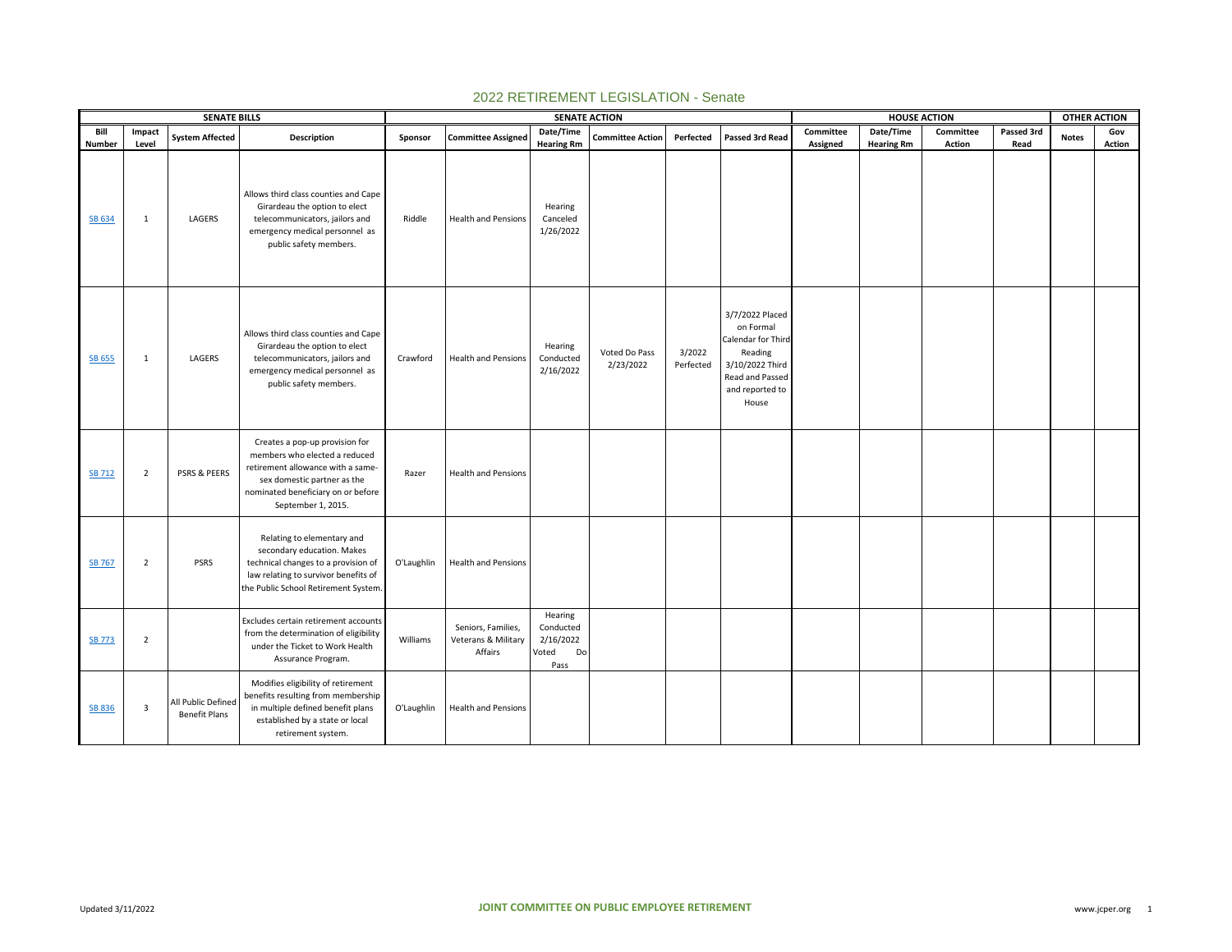|               |                         | <b>SENATE BILLS</b>                        |                                                                                                                                                                                                 |            |                                                      |                                                          | <b>SENATE ACTION</b>       |                     |                                                                                                                                 |           |                   | <b>HOUSE ACTION</b> |            | <b>OTHER ACTION</b> |        |
|---------------|-------------------------|--------------------------------------------|-------------------------------------------------------------------------------------------------------------------------------------------------------------------------------------------------|------------|------------------------------------------------------|----------------------------------------------------------|----------------------------|---------------------|---------------------------------------------------------------------------------------------------------------------------------|-----------|-------------------|---------------------|------------|---------------------|--------|
| Bill          | Impact                  | <b>System Affected</b>                     | Description                                                                                                                                                                                     | Sponsor    | <b>Committee Assigned</b>                            | Date/Time                                                | <b>Committee Action</b>    | Perfected           | Passed 3rd Read                                                                                                                 | Committee | Date/Time         | Committee           | Passed 3rd | <b>Notes</b>        | Gov    |
| <b>Number</b> | Level                   |                                            |                                                                                                                                                                                                 |            |                                                      | <b>Hearing Rm</b>                                        |                            |                     |                                                                                                                                 | Assigned  | <b>Hearing Rm</b> | Action              | Read       |                     | Action |
| SB 634        | 1                       | LAGERS                                     | Allows third class counties and Cape<br>Girardeau the option to elect<br>telecommunicators, jailors and<br>emergency medical personnel as<br>public safety members.                             | Riddle     | <b>Health and Pensions</b>                           | Hearing<br>Canceled<br>1/26/2022                         |                            |                     |                                                                                                                                 |           |                   |                     |            |                     |        |
| <b>SB 655</b> | 1                       | LAGERS                                     | Allows third class counties and Cape<br>Girardeau the option to elect<br>telecommunicators, jailors and<br>emergency medical personnel as<br>public safety members.                             | Crawford   | <b>Health and Pensions</b>                           | Hearing<br>Conducted<br>2/16/2022                        | Voted Do Pass<br>2/23/2022 | 3/2022<br>Perfected | 3/7/2022 Placed<br>on Formal<br>Calendar for Third<br>Reading<br>3/10/2022 Third<br>Read and Passed<br>and reported to<br>House |           |                   |                     |            |                     |        |
| <b>SB 712</b> | $\overline{2}$          | <b>PSRS &amp; PEERS</b>                    | Creates a pop-up provision for<br>members who elected a reduced<br>retirement allowance with a same-<br>sex domestic partner as the<br>nominated beneficiary on or before<br>September 1, 2015. | Razer      | <b>Health and Pensions</b>                           |                                                          |                            |                     |                                                                                                                                 |           |                   |                     |            |                     |        |
| <b>SB 767</b> | $\overline{2}$          | <b>PSRS</b>                                | Relating to elementary and<br>secondary education. Makes<br>technical changes to a provision of<br>law relating to survivor benefits of<br>the Public School Retirement System.                 | O'Laughlin | Health and Pensions                                  |                                                          |                            |                     |                                                                                                                                 |           |                   |                     |            |                     |        |
| <b>SB 773</b> | $\overline{2}$          |                                            | Excludes certain retirement accounts<br>from the determination of eligibility<br>under the Ticket to Work Health<br>Assurance Program.                                                          | Williams   | Seniors, Families,<br>Veterans & Military<br>Affairs | Hearing<br>Conducted<br>2/16/2022<br>Voted<br>Do<br>Pass |                            |                     |                                                                                                                                 |           |                   |                     |            |                     |        |
| SB 836        | $\overline{\mathbf{3}}$ | All Public Defined<br><b>Benefit Plans</b> | Modifies eligibility of retirement<br>benefits resulting from membership<br>in multiple defined benefit plans<br>established by a state or local<br>retirement system.                          | O'Laughlin | Health and Pensions                                  |                                                          |                            |                     |                                                                                                                                 |           |                   |                     |            |                     |        |

## 2022 RETIREMENT LEGISLATION - Senate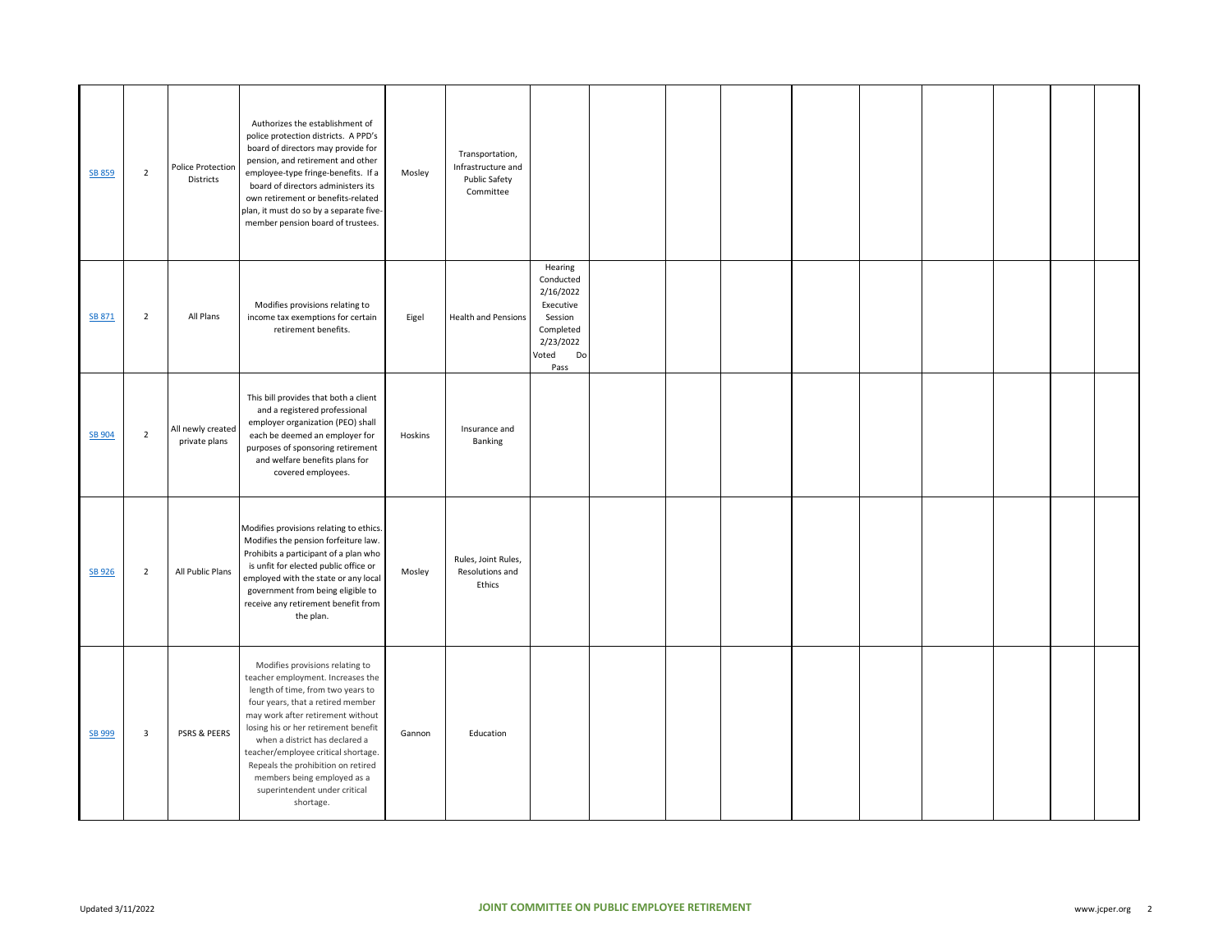| <b>SB 859</b> | $\overline{2}$ | Police Protection<br>Districts     | Authorizes the establishment of<br>police protection districts. A PPD's<br>board of directors may provide for<br>pension, and retirement and other<br>employee-type fringe-benefits. If a<br>board of directors administers its<br>own retirement or benefits-related<br>plan, it must do so by a separate five-<br>member pension board of trustees.                                                                   | Mosley  | Transportation,<br>Infrastructure and<br>Public Safety<br>Committee |                                                                                                            |  |  |  |  |  |
|---------------|----------------|------------------------------------|-------------------------------------------------------------------------------------------------------------------------------------------------------------------------------------------------------------------------------------------------------------------------------------------------------------------------------------------------------------------------------------------------------------------------|---------|---------------------------------------------------------------------|------------------------------------------------------------------------------------------------------------|--|--|--|--|--|
| SB 871        | $\overline{2}$ | All Plans                          | Modifies provisions relating to<br>income tax exemptions for certain<br>retirement benefits.                                                                                                                                                                                                                                                                                                                            | Eigel   | <b>Health and Pensions</b>                                          | Hearing<br>Conducted<br>2/16/2022<br>Executive<br>Session<br>Completed<br>2/23/2022<br>Voted<br>Do<br>Pass |  |  |  |  |  |
| SB 904        | $\overline{2}$ | All newly created<br>private plans | This bill provides that both a client<br>and a registered professional<br>employer organization (PEO) shall<br>each be deemed an employer for<br>purposes of sponsoring retirement<br>and welfare benefits plans for<br>covered employees.                                                                                                                                                                              | Hoskins | Insurance and<br>Banking                                            |                                                                                                            |  |  |  |  |  |
| <b>SB 926</b> | $\overline{2}$ | All Public Plans                   | Modifies provisions relating to ethics.<br>Modifies the pension forfeiture law.<br>Prohibits a participant of a plan who<br>is unfit for elected public office or<br>employed with the state or any local<br>government from being eligible to<br>receive any retirement benefit from<br>the plan.                                                                                                                      | Mosley  | Rules, Joint Rules,<br>Resolutions and<br>Ethics                    |                                                                                                            |  |  |  |  |  |
| SB 999        | $\mathbf{3}$   | PSRS & PEERS                       | Modifies provisions relating to<br>teacher employment. Increases the<br>length of time, from two years to<br>four years, that a retired member<br>may work after retirement without<br>losing his or her retirement benefit<br>when a district has declared a<br>teacher/employee critical shortage.<br>Repeals the prohibition on retired<br>members being employed as a<br>superintendent under critical<br>shortage. | Gannon  | Education                                                           |                                                                                                            |  |  |  |  |  |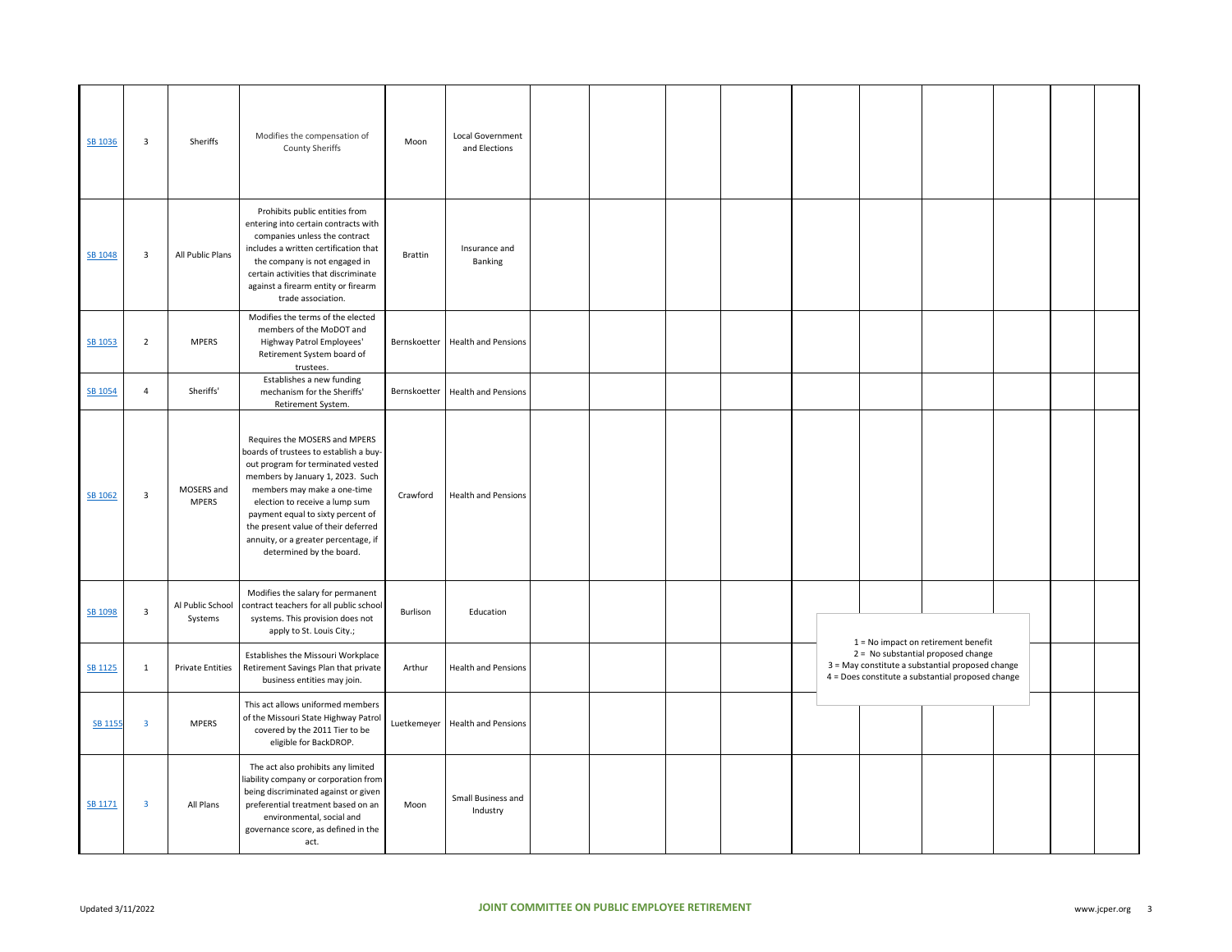| SB 1036        | $\overline{\mathbf{3}}$ | Sheriffs                    | Modifies the compensation of<br><b>County Sheriffs</b>                                                                                                                                                                                                                                                                                                            | Moon           | Local Government<br>and Elections |  |  |  |                                                                                                                                             |  |  |
|----------------|-------------------------|-----------------------------|-------------------------------------------------------------------------------------------------------------------------------------------------------------------------------------------------------------------------------------------------------------------------------------------------------------------------------------------------------------------|----------------|-----------------------------------|--|--|--|---------------------------------------------------------------------------------------------------------------------------------------------|--|--|
| SB 1048        | $\overline{\mathbf{3}}$ | All Public Plans            | Prohibits public entities from<br>entering into certain contracts with<br>companies unless the contract<br>includes a written certification that<br>the company is not engaged in<br>certain activities that discriminate<br>against a firearm entity or firearm<br>trade association.                                                                            | <b>Brattin</b> | Insurance and<br>Banking          |  |  |  |                                                                                                                                             |  |  |
| SB 1053        | $\overline{2}$          | <b>MPERS</b>                | Modifies the terms of the elected<br>members of the MoDOT and<br>Highway Patrol Employees'<br>Retirement System board of<br>trustees.                                                                                                                                                                                                                             |                | Bernskoetter Health and Pensions  |  |  |  |                                                                                                                                             |  |  |
| <b>SB 1054</b> | $\overline{4}$          | Sheriffs'                   | Establishes a new funding<br>mechanism for the Sheriffs'<br>Retirement System.                                                                                                                                                                                                                                                                                    |                | Bernskoetter Health and Pensions  |  |  |  |                                                                                                                                             |  |  |
| SB 1062        | $\overline{3}$          | MOSERS and<br><b>MPERS</b>  | Requires the MOSERS and MPERS<br>boards of trustees to establish a buy-<br>out program for terminated vested<br>members by January 1, 2023. Such<br>members may make a one-time<br>election to receive a lump sum<br>payment equal to sixty percent of<br>the present value of their deferred<br>annuity, or a greater percentage, if<br>determined by the board. | Crawford       | <b>Health and Pensions</b>        |  |  |  |                                                                                                                                             |  |  |
| SB 1098        | $\overline{\mathbf{3}}$ | Al Public School<br>Systems | Modifies the salary for permanent<br>contract teachers for all public school<br>systems. This provision does not<br>apply to St. Louis City.;                                                                                                                                                                                                                     | Burlison       | Education                         |  |  |  | $1 = No$ impact on retirement benefit                                                                                                       |  |  |
| SB 1125        | $\mathbf{1}$            | <b>Private Entities</b>     | Establishes the Missouri Workplace<br>Retirement Savings Plan that private<br>business entities may join.                                                                                                                                                                                                                                                         | Arthur         | <b>Health and Pensions</b>        |  |  |  | 2 = No substantial proposed change<br>3 = May constitute a substantial proposed change<br>4 = Does constitute a substantial proposed change |  |  |
| <b>SB 1155</b> | $\overline{\mathbf{3}}$ | <b>MPERS</b>                | This act allows uniformed members<br>of the Missouri State Highway Patrol<br>covered by the 2011 Tier to be<br>eligible for BackDROP.                                                                                                                                                                                                                             |                | Luetkemeyer Health and Pensions   |  |  |  |                                                                                                                                             |  |  |
| SB 1171        | 3                       | All Plans                   | The act also prohibits any limited<br>iability company or corporation from<br>being discriminated against or given<br>preferential treatment based on an<br>environmental, social and<br>governance score, as defined in the<br>act.                                                                                                                              | Moon           | Small Business and<br>Industry    |  |  |  |                                                                                                                                             |  |  |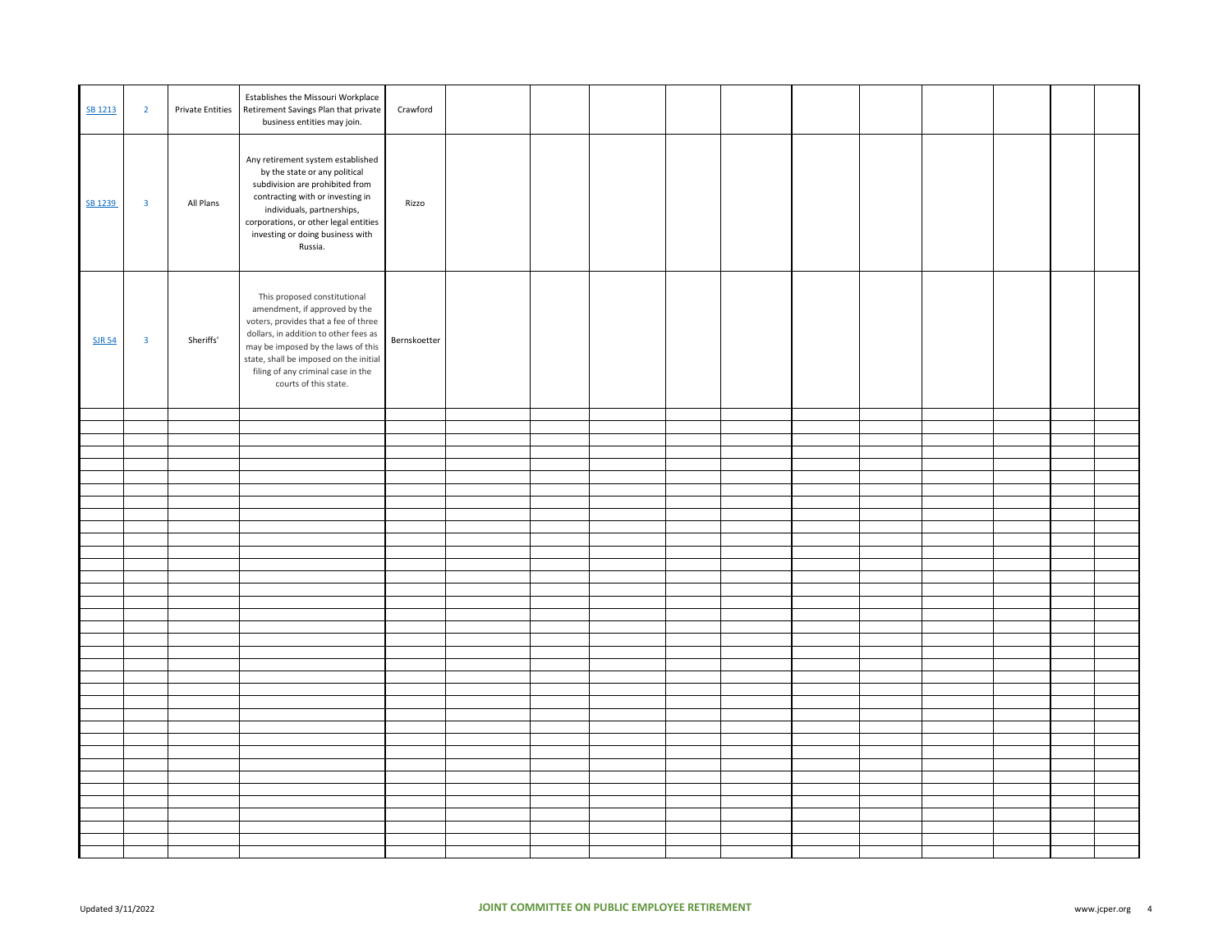| SB 1213       | $\overline{2}$          | <b>Private Entities</b> | Establishes the Missouri Workplace<br>Retirement Savings Plan that private<br>business entities may join.                                                                                                                                                                                     | Crawford     |  |  |  |  |  |  |
|---------------|-------------------------|-------------------------|-----------------------------------------------------------------------------------------------------------------------------------------------------------------------------------------------------------------------------------------------------------------------------------------------|--------------|--|--|--|--|--|--|
| SB 1239       | $\overline{\mathbf{3}}$ | All Plans               | Any retirement system established<br>by the state or any political<br>subdivision are prohibited from<br>contracting with or investing in<br>individuals, partnerships,<br>corporations, or other legal entities<br>investing or doing business with<br>Russia.                               | Rizzo        |  |  |  |  |  |  |
| <b>SJR 54</b> | $\overline{\mathbf{3}}$ | Sheriffs'               | This proposed constitutional<br>amendment, if approved by the<br>voters, provides that a fee of three<br>dollars, in addition to other fees as<br>may be imposed by the laws of this<br>state, shall be imposed on the initial<br>filing of any criminal case in the<br>courts of this state. | Bernskoetter |  |  |  |  |  |  |
|               |                         |                         |                                                                                                                                                                                                                                                                                               |              |  |  |  |  |  |  |
|               |                         |                         |                                                                                                                                                                                                                                                                                               |              |  |  |  |  |  |  |
|               |                         |                         |                                                                                                                                                                                                                                                                                               |              |  |  |  |  |  |  |
|               |                         |                         |                                                                                                                                                                                                                                                                                               |              |  |  |  |  |  |  |
|               |                         |                         |                                                                                                                                                                                                                                                                                               |              |  |  |  |  |  |  |
|               |                         |                         |                                                                                                                                                                                                                                                                                               |              |  |  |  |  |  |  |
|               |                         |                         |                                                                                                                                                                                                                                                                                               |              |  |  |  |  |  |  |
|               |                         |                         |                                                                                                                                                                                                                                                                                               |              |  |  |  |  |  |  |
|               |                         |                         |                                                                                                                                                                                                                                                                                               |              |  |  |  |  |  |  |
|               |                         |                         |                                                                                                                                                                                                                                                                                               |              |  |  |  |  |  |  |
|               |                         |                         |                                                                                                                                                                                                                                                                                               |              |  |  |  |  |  |  |
|               |                         |                         |                                                                                                                                                                                                                                                                                               |              |  |  |  |  |  |  |
|               |                         |                         |                                                                                                                                                                                                                                                                                               |              |  |  |  |  |  |  |
|               |                         |                         |                                                                                                                                                                                                                                                                                               |              |  |  |  |  |  |  |
|               |                         |                         |                                                                                                                                                                                                                                                                                               |              |  |  |  |  |  |  |
|               |                         |                         |                                                                                                                                                                                                                                                                                               |              |  |  |  |  |  |  |
|               |                         |                         |                                                                                                                                                                                                                                                                                               |              |  |  |  |  |  |  |
|               |                         |                         |                                                                                                                                                                                                                                                                                               |              |  |  |  |  |  |  |
|               |                         |                         |                                                                                                                                                                                                                                                                                               |              |  |  |  |  |  |  |
|               |                         |                         |                                                                                                                                                                                                                                                                                               |              |  |  |  |  |  |  |
|               |                         |                         |                                                                                                                                                                                                                                                                                               |              |  |  |  |  |  |  |
|               |                         |                         |                                                                                                                                                                                                                                                                                               |              |  |  |  |  |  |  |
|               |                         |                         |                                                                                                                                                                                                                                                                                               |              |  |  |  |  |  |  |
|               |                         |                         |                                                                                                                                                                                                                                                                                               |              |  |  |  |  |  |  |
|               |                         |                         |                                                                                                                                                                                                                                                                                               |              |  |  |  |  |  |  |
|               |                         |                         |                                                                                                                                                                                                                                                                                               |              |  |  |  |  |  |  |
|               |                         |                         |                                                                                                                                                                                                                                                                                               |              |  |  |  |  |  |  |
|               |                         |                         |                                                                                                                                                                                                                                                                                               |              |  |  |  |  |  |  |
|               |                         |                         |                                                                                                                                                                                                                                                                                               |              |  |  |  |  |  |  |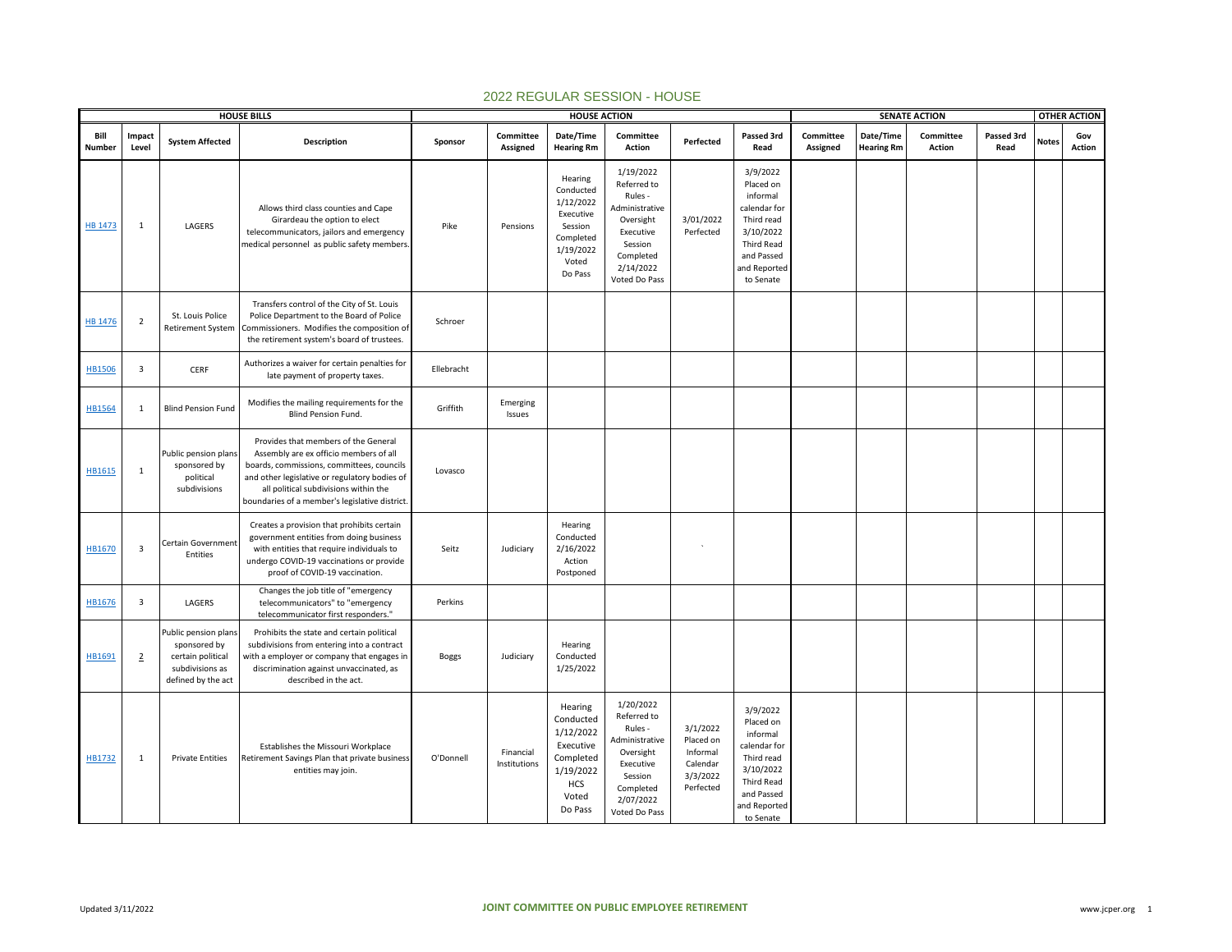|                | <b>HOUSE BILLS</b><br>Impact |                                                                                                    |                                                                                                                                                                                                                                                                        | <b>HOUSE ACTION</b> |                           |                                                                                                         |                                                                                                                                       |                                                                        |                                                                                                                                              | <b>SENATE ACTION</b>  |                                |                     |                    |              | <b>OTHER ACTION</b> |
|----------------|------------------------------|----------------------------------------------------------------------------------------------------|------------------------------------------------------------------------------------------------------------------------------------------------------------------------------------------------------------------------------------------------------------------------|---------------------|---------------------------|---------------------------------------------------------------------------------------------------------|---------------------------------------------------------------------------------------------------------------------------------------|------------------------------------------------------------------------|----------------------------------------------------------------------------------------------------------------------------------------------|-----------------------|--------------------------------|---------------------|--------------------|--------------|---------------------|
| Bill<br>Number | Level                        | <b>System Affected</b>                                                                             | Description                                                                                                                                                                                                                                                            | Sponsor             | Committee<br>Assigned     | Date/Time<br><b>Hearing Rm</b>                                                                          | Committee<br>Action                                                                                                                   | Perfected                                                              | Passed 3rd<br>Read                                                                                                                           | Committee<br>Assigned | Date/Time<br><b>Hearing Rm</b> | Committee<br>Action | Passed 3rd<br>Read | <b>Notes</b> | Gov<br>Action       |
| HB 1473        | $\mathbf{1}$                 | LAGERS                                                                                             | Allows third class counties and Cape<br>Girardeau the option to elect<br>telecommunicators, jailors and emergency<br>medical personnel as public safety members                                                                                                        | Pike                | Pensions                  | Hearing<br>Conducted<br>1/12/2022<br>Executive<br>Session<br>Completed<br>1/19/2022<br>Voted<br>Do Pass | 1/19/2022<br>Referred to<br>Rules -<br>Administrative<br>Oversight<br>Executive<br>Session<br>Completed<br>2/14/2022<br>Voted Do Pass | 3/01/2022<br>Perfected                                                 | 3/9/2022<br>Placed on<br>informal<br>calendar for<br>Third read<br>3/10/2022<br><b>Third Read</b><br>and Passed<br>and Reported<br>to Senate |                       |                                |                     |                    |              |                     |
| <b>HB 1476</b> | $\overline{2}$               | St. Louis Police<br><b>Retirement System</b>                                                       | Transfers control of the City of St. Louis<br>Police Department to the Board of Police<br>Commissioners. Modifies the composition of<br>the retirement system's board of trustees.                                                                                     | Schroer             |                           |                                                                                                         |                                                                                                                                       |                                                                        |                                                                                                                                              |                       |                                |                     |                    |              |                     |
| <b>HB1506</b>  | $\overline{\mathbf{3}}$      | CERF                                                                                               | Authorizes a waiver for certain penalties for<br>late payment of property taxes.                                                                                                                                                                                       | Ellebracht          |                           |                                                                                                         |                                                                                                                                       |                                                                        |                                                                                                                                              |                       |                                |                     |                    |              |                     |
| HB1564         | 1                            | <b>Blind Pension Fund</b>                                                                          | Modifies the mailing requirements for the<br>Blind Pension Fund.                                                                                                                                                                                                       | Griffith            | Emerging<br>Issues        |                                                                                                         |                                                                                                                                       |                                                                        |                                                                                                                                              |                       |                                |                     |                    |              |                     |
| HB1615         | 1                            | Public pension plans<br>sponsored by<br>political<br>subdivisions                                  | Provides that members of the General<br>Assembly are ex officio members of all<br>boards, commissions, committees, councils<br>and other legislative or regulatory bodies of<br>all political subdivisions within the<br>boundaries of a member's legislative district | Lovasco             |                           |                                                                                                         |                                                                                                                                       |                                                                        |                                                                                                                                              |                       |                                |                     |                    |              |                     |
| HB1670         | $\overline{\mathbf{3}}$      | Certain Government<br>Entities                                                                     | Creates a provision that prohibits certain<br>government entities from doing business<br>with entities that require individuals to<br>undergo COVID-19 vaccinations or provide<br>proof of COVID-19 vaccination.                                                       | Seitz               | Judiciary                 | Hearing<br>Conducted<br>2/16/2022<br>Action<br>Postponed                                                |                                                                                                                                       | $\mathbf{v}$                                                           |                                                                                                                                              |                       |                                |                     |                    |              |                     |
| HB1676         | $\overline{\mathbf{3}}$      | LAGERS                                                                                             | Changes the job title of "emergency<br>telecommunicators" to "emergency<br>telecommunicator first responders."                                                                                                                                                         | Perkins             |                           |                                                                                                         |                                                                                                                                       |                                                                        |                                                                                                                                              |                       |                                |                     |                    |              |                     |
| HB1691         | $\overline{2}$               | Public pension plans<br>sponsored by<br>certain political<br>subdivisions as<br>defined by the act | Prohibits the state and certain political<br>subdivisions from entering into a contract<br>with a employer or company that engages ir<br>discrimination against unvaccinated, as<br>described in the act.                                                              | <b>Boggs</b>        | Judiciary                 | Hearing<br>Conducted<br>1/25/2022                                                                       |                                                                                                                                       |                                                                        |                                                                                                                                              |                       |                                |                     |                    |              |                     |
| HB1732         | $\mathbf{1}$                 | <b>Private Entities</b>                                                                            | Establishes the Missouri Workplace<br>Retirement Savings Plan that private business<br>entities may join.                                                                                                                                                              | O'Donnell           | Financial<br>Institutions | Hearing<br>Conducted<br>1/12/2022<br>Executive<br>Completed<br>1/19/2022<br>HCS<br>Voted<br>Do Pass     | 1/20/2022<br>Referred to<br>Rules -<br>Administrative<br>Oversight<br>Executive<br>Session<br>Completed<br>2/07/2022<br>Voted Do Pass | 3/1/2022<br>Placed on<br>Informal<br>Calendar<br>3/3/2022<br>Perfected | 3/9/2022<br>Placed on<br>informal<br>calendar for<br>Third read<br>3/10/2022<br>Third Read<br>and Passed<br>and Reported<br>to Senate        |                       |                                |                     |                    |              |                     |

## 2022 REGULAR SESSION - HOUSE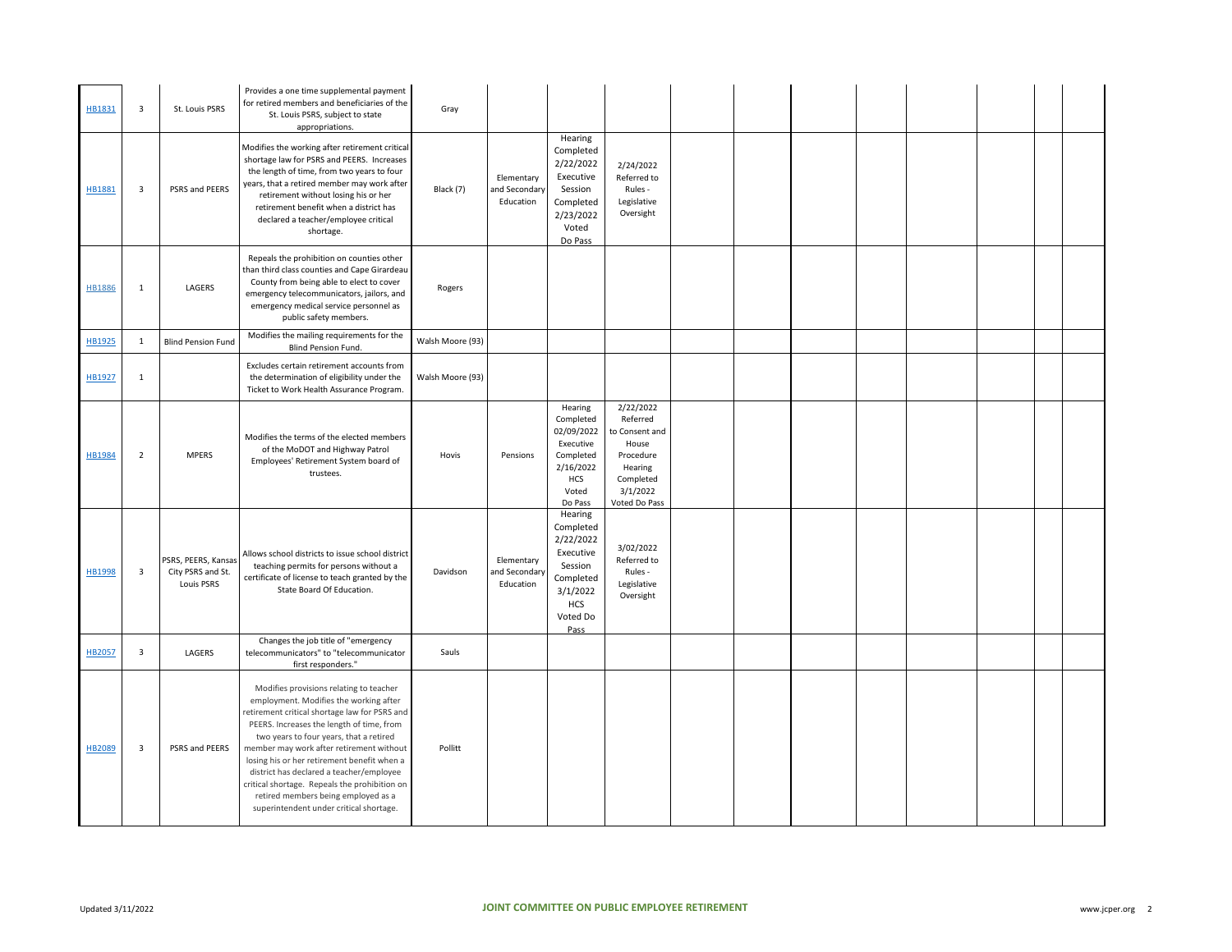| HB1831        | $\mathbf{3}$   | St. Louis PSRS                                         | Provides a one time supplemental payment<br>for retired members and beneficiaries of the<br>St. Louis PSRS, subject to state<br>appropriations.                                                                                                                                                                                                                                                                                                                                                     | Gray             |                                          |                                                                                                               |                                                                                                                    |  |  |  |  |
|---------------|----------------|--------------------------------------------------------|-----------------------------------------------------------------------------------------------------------------------------------------------------------------------------------------------------------------------------------------------------------------------------------------------------------------------------------------------------------------------------------------------------------------------------------------------------------------------------------------------------|------------------|------------------------------------------|---------------------------------------------------------------------------------------------------------------|--------------------------------------------------------------------------------------------------------------------|--|--|--|--|
| HB1881        | 3              | PSRS and PEERS                                         | Modifies the working after retirement critical<br>shortage law for PSRS and PEERS. Increases<br>the length of time, from two years to four<br>years, that a retired member may work after<br>retirement without losing his or her<br>retirement benefit when a district has<br>declared a teacher/employee critical<br>shortage.                                                                                                                                                                    | Black (7)        | Elementary<br>and Secondary<br>Education | Hearing<br>Completed<br>2/22/2022<br>Executive<br>Session<br>Completed<br>2/23/2022<br>Voted<br>Do Pass       | 2/24/2022<br>Referred to<br>Rules -<br>Legislative<br>Oversight                                                    |  |  |  |  |
| HB1886        | $\mathbf{1}$   | LAGERS                                                 | Repeals the prohibition on counties other<br>than third class counties and Cape Girardeau<br>County from being able to elect to cover<br>emergency telecommunicators, jailors, and<br>emergency medical service personnel as<br>public safety members.                                                                                                                                                                                                                                              | Rogers           |                                          |                                                                                                               |                                                                                                                    |  |  |  |  |
| HB1925        | $\mathbf{1}$   | <b>Blind Pension Fund</b>                              | Modifies the mailing requirements for the<br>Blind Pension Fund.                                                                                                                                                                                                                                                                                                                                                                                                                                    | Walsh Moore (93) |                                          |                                                                                                               |                                                                                                                    |  |  |  |  |
| HB1927        | $\mathbf{1}$   |                                                        | Excludes certain retirement accounts from<br>the determination of eligibility under the<br>Ticket to Work Health Assurance Program.                                                                                                                                                                                                                                                                                                                                                                 | Walsh Moore (93) |                                          |                                                                                                               |                                                                                                                    |  |  |  |  |
| <b>HB1984</b> | $\overline{2}$ | <b>MPERS</b>                                           | Modifies the terms of the elected members<br>of the MoDOT and Highway Patrol<br>Employees' Retirement System board of<br>trustees.                                                                                                                                                                                                                                                                                                                                                                  | Hovis            | Pensions                                 | Hearing<br>Completed<br>02/09/2022<br>Executive<br>Completed<br>2/16/2022<br>HCS<br>Voted<br>Do Pass          | 2/22/2022<br>Referred<br>to Consent and<br>House<br>Procedure<br>Hearing<br>Completed<br>3/1/2022<br>Voted Do Pass |  |  |  |  |
| HB1998        | 3              | PSRS, PEERS, Kansas<br>City PSRS and St.<br>Louis PSRS | Allows school districts to issue school district<br>teaching permits for persons without a<br>certificate of license to teach granted by the<br>State Board Of Education.                                                                                                                                                                                                                                                                                                                           | Davidson         | Elementary<br>and Secondary<br>Education | Hearing<br>Completed<br>2/22/2022<br>Executive<br>Session<br>Completed<br>3/1/2022<br>HCS<br>Voted Do<br>Pass | 3/02/2022<br>Referred to<br>Rules -<br>Legislative<br>Oversight                                                    |  |  |  |  |
| HB2057        | 3              | LAGERS                                                 | Changes the job title of "emergency<br>telecommunicators" to "telecommunicator<br>first responders."                                                                                                                                                                                                                                                                                                                                                                                                | Sauls            |                                          |                                                                                                               |                                                                                                                    |  |  |  |  |
| HB2089        | 3              | PSRS and PEERS                                         | Modifies provisions relating to teacher<br>employment. Modifies the working after<br>etirement critical shortage law for PSRS and<br>PEERS. Increases the length of time, from<br>two years to four years, that a retired<br>member may work after retirement without<br>losing his or her retirement benefit when a<br>district has declared a teacher/employee<br>critical shortage. Repeals the prohibition on<br>retired members being employed as a<br>superintendent under critical shortage. | Pollitt          |                                          |                                                                                                               |                                                                                                                    |  |  |  |  |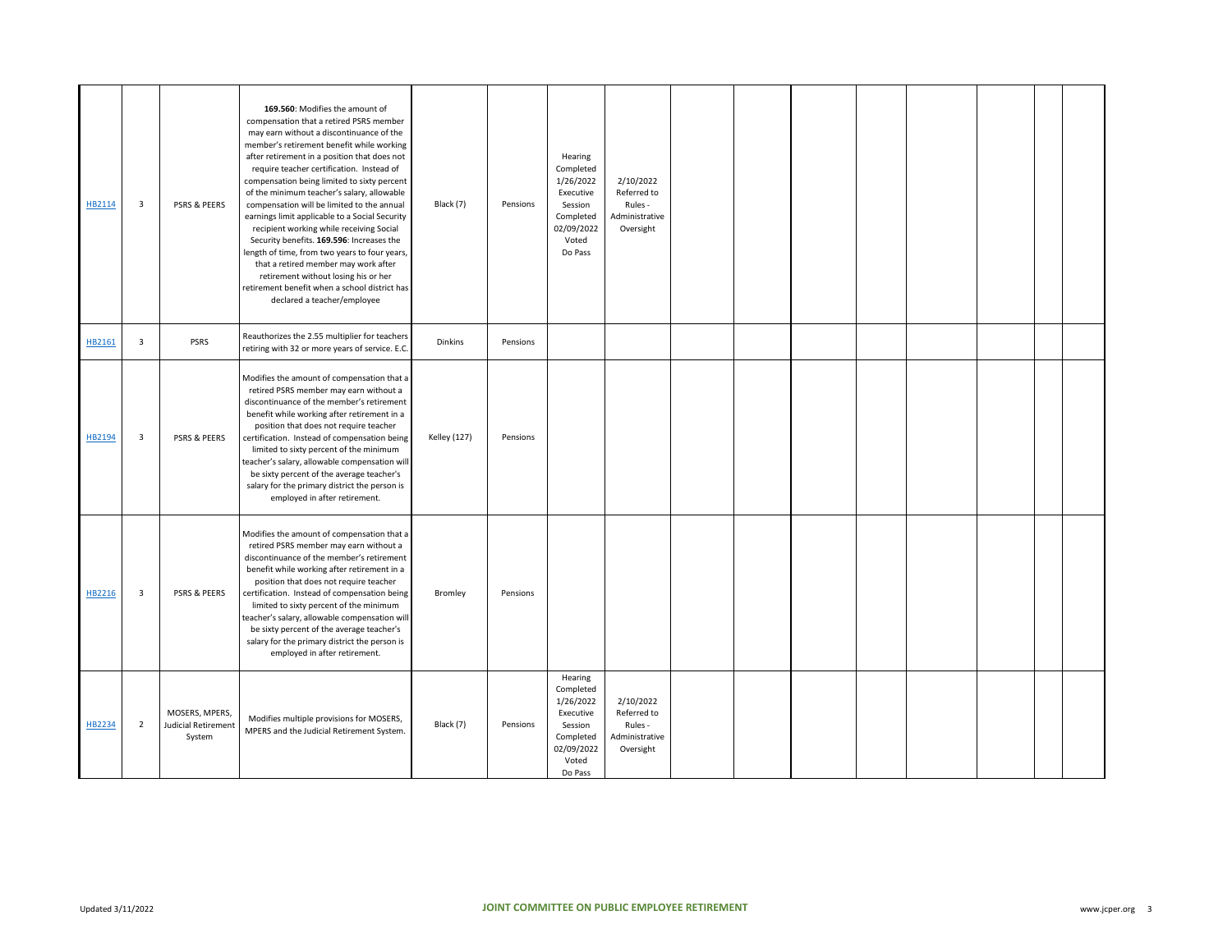| HB2114 | $\overline{\mathbf{3}}$ | PSRS & PEERS                                    | 169.560: Modifies the amount of<br>compensation that a retired PSRS member<br>may earn without a discontinuance of the<br>member's retirement benefit while working<br>after retirement in a position that does not<br>require teacher certification. Instead of<br>compensation being limited to sixty percent<br>of the minimum teacher's salary, allowable<br>compensation will be limited to the annual<br>earnings limit applicable to a Social Security<br>recipient working while receiving Social<br>Security benefits. 169.596: Increases the<br>length of time, from two years to four years,<br>that a retired member may work after<br>retirement without losing his or her<br>retirement benefit when a school district has<br>declared a teacher/employee | Black (7)           | Pensions | Hearing<br>Completed<br>1/26/2022<br>Executive<br>Session<br>Completed<br>02/09/2022<br>Voted<br>Do Pass | 2/10/2022<br>Referred to<br>Rules -<br>Administrative<br>Oversight |  |  |  |  |
|--------|-------------------------|-------------------------------------------------|-------------------------------------------------------------------------------------------------------------------------------------------------------------------------------------------------------------------------------------------------------------------------------------------------------------------------------------------------------------------------------------------------------------------------------------------------------------------------------------------------------------------------------------------------------------------------------------------------------------------------------------------------------------------------------------------------------------------------------------------------------------------------|---------------------|----------|----------------------------------------------------------------------------------------------------------|--------------------------------------------------------------------|--|--|--|--|
| HB2161 | $\overline{\mathbf{3}}$ | <b>PSRS</b>                                     | Reauthorizes the 2.55 multiplier for teachers<br>retiring with 32 or more years of service. E.C.                                                                                                                                                                                                                                                                                                                                                                                                                                                                                                                                                                                                                                                                        | Dinkins             | Pensions |                                                                                                          |                                                                    |  |  |  |  |
| HB2194 | $\overline{\mathbf{3}}$ | PSRS & PEERS                                    | Modifies the amount of compensation that a<br>retired PSRS member may earn without a<br>discontinuance of the member's retirement<br>benefit while working after retirement in a<br>position that does not require teacher<br>certification. Instead of compensation being<br>limited to sixty percent of the minimum<br>teacher's salary, allowable compensation will<br>be sixty percent of the average teacher's<br>salary for the primary district the person is<br>employed in after retirement.                                                                                                                                                                                                                                                                   | <b>Kelley (127)</b> | Pensions |                                                                                                          |                                                                    |  |  |  |  |
| HB2216 | 3                       | PSRS & PEERS                                    | Modifies the amount of compensation that a<br>retired PSRS member may earn without a<br>discontinuance of the member's retirement<br>benefit while working after retirement in a<br>position that does not require teacher<br>certification. Instead of compensation being<br>limited to sixty percent of the minimum<br>teacher's salary, allowable compensation will<br>be sixty percent of the average teacher's<br>salary for the primary district the person is<br>employed in after retirement.                                                                                                                                                                                                                                                                   | Bromley             | Pensions |                                                                                                          |                                                                    |  |  |  |  |
| HB2234 | $\overline{2}$          | MOSERS, MPERS,<br>Judicial Retirement<br>System | Modifies multiple provisions for MOSERS,<br>MPERS and the Judicial Retirement System.                                                                                                                                                                                                                                                                                                                                                                                                                                                                                                                                                                                                                                                                                   | Black (7)           | Pensions | Hearing<br>Completed<br>1/26/2022<br>Executive<br>Session<br>Completed<br>02/09/2022<br>Voted<br>Do Pass | 2/10/2022<br>Referred to<br>Rules -<br>Administrative<br>Oversight |  |  |  |  |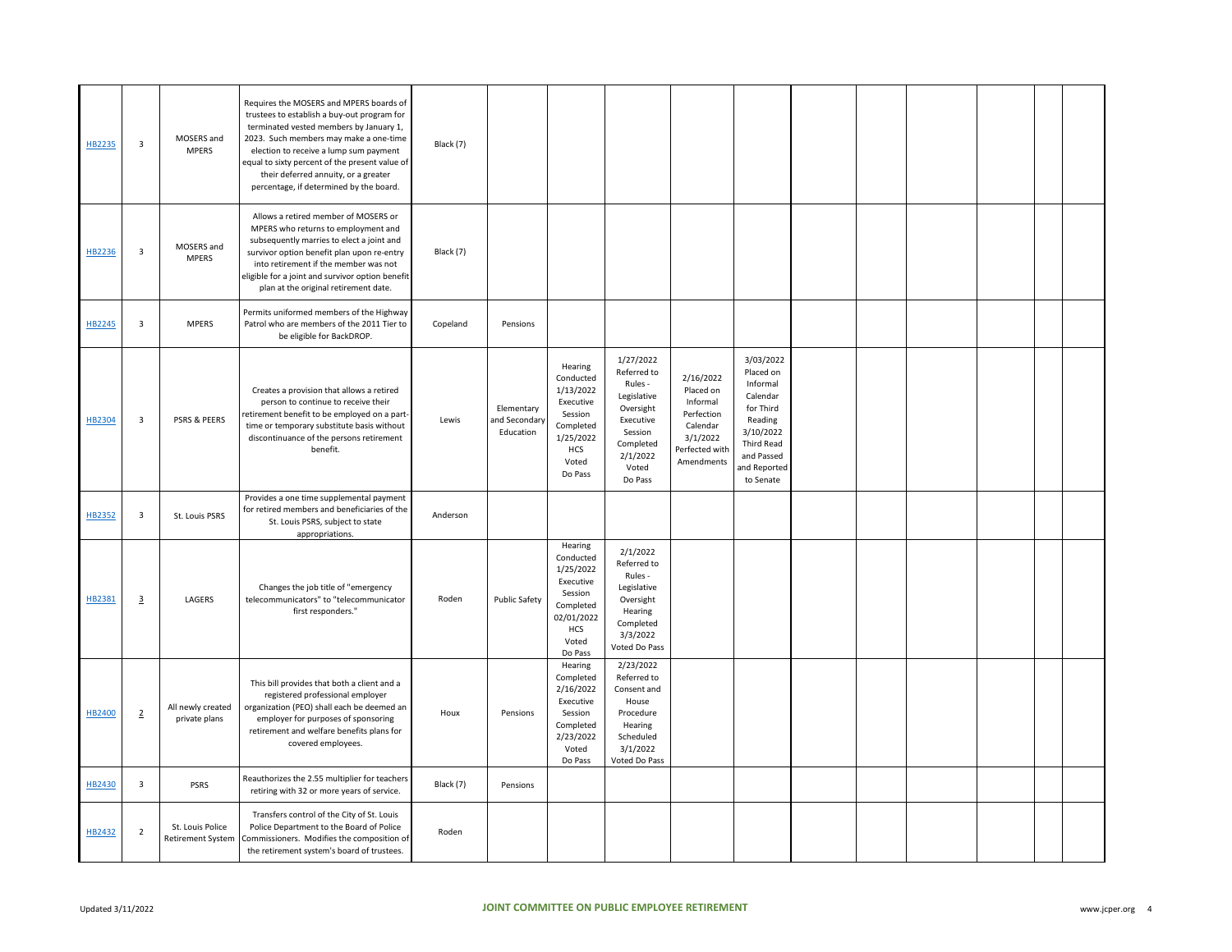| HB2235 | $\overline{\mathbf{3}}$ | MOSERS and<br><b>MPERS</b>                   | Requires the MOSERS and MPERS boards of<br>trustees to establish a buy-out program for<br>terminated vested members by January 1,<br>2023. Such members may make a one-time<br>election to receive a lump sum payment<br>equal to sixty percent of the present value of<br>their deferred annuity, or a greater<br>percentage, if determined by the board. | Black (7) |                                          |                                                                                                                 |                                                                                                                                      |                                                                                                          |                                                                                                                                              |  |  |  |
|--------|-------------------------|----------------------------------------------|------------------------------------------------------------------------------------------------------------------------------------------------------------------------------------------------------------------------------------------------------------------------------------------------------------------------------------------------------------|-----------|------------------------------------------|-----------------------------------------------------------------------------------------------------------------|--------------------------------------------------------------------------------------------------------------------------------------|----------------------------------------------------------------------------------------------------------|----------------------------------------------------------------------------------------------------------------------------------------------|--|--|--|
| HB2236 | $\overline{\mathbf{3}}$ | MOSERS and<br><b>MPERS</b>                   | Allows a retired member of MOSERS or<br>MPERS who returns to employment and<br>subsequently marries to elect a joint and<br>survivor option benefit plan upon re-entry<br>into retirement if the member was not<br>eligible for a joint and survivor option benefit<br>plan at the original retirement date.                                               | Black (7) |                                          |                                                                                                                 |                                                                                                                                      |                                                                                                          |                                                                                                                                              |  |  |  |
| HB2245 | $\overline{\mathbf{3}}$ | <b>MPERS</b>                                 | Permits uniformed members of the Highway<br>Patrol who are members of the 2011 Tier to<br>be eligible for BackDROP.                                                                                                                                                                                                                                        | Copeland  | Pensions                                 |                                                                                                                 |                                                                                                                                      |                                                                                                          |                                                                                                                                              |  |  |  |
| HB2304 | $\overline{\mathbf{3}}$ | <b>PSRS &amp; PEERS</b>                      | Creates a provision that allows a retired<br>person to continue to receive their<br>retirement benefit to be employed on a part<br>time or temporary substitute basis without<br>discontinuance of the persons retirement<br>benefit.                                                                                                                      | Lewis     | Elementary<br>and Secondary<br>Education | Hearing<br>Conducted<br>1/13/2022<br>Executive<br>Session<br>Completed<br>1/25/2022<br>HCS<br>Voted<br>Do Pass  | 1/27/2022<br>Referred to<br>Rules -<br>Legislative<br>Oversight<br>Executive<br>Session<br>Completed<br>2/1/2022<br>Voted<br>Do Pass | 2/16/2022<br>Placed on<br>Informal<br>Perfection<br>Calendar<br>3/1/2022<br>Perfected with<br>Amendments | 3/03/2022<br>Placed on<br>Informal<br>Calendar<br>for Third<br>Reading<br>3/10/2022<br>Third Read<br>and Passed<br>and Reported<br>to Senate |  |  |  |
| HB2352 | $\overline{\mathbf{3}}$ | St. Louis PSRS                               | Provides a one time supplemental payment<br>for retired members and beneficiaries of the<br>St. Louis PSRS, subject to state<br>appropriations.                                                                                                                                                                                                            | Anderson  |                                          |                                                                                                                 |                                                                                                                                      |                                                                                                          |                                                                                                                                              |  |  |  |
| HB2381 | $\overline{3}$          | LAGERS                                       | Changes the job title of "emergency<br>telecommunicators" to "telecommunicator<br>first responders."                                                                                                                                                                                                                                                       | Roden     | <b>Public Safety</b>                     | Hearing<br>Conducted<br>1/25/2022<br>Executive<br>Session<br>Completed<br>02/01/2022<br>HCS<br>Voted<br>Do Pass | 2/1/2022<br>Referred to<br>Rules -<br>Legislative<br>Oversight<br>Hearing<br>Completed<br>3/3/2022<br>Voted Do Pass                  |                                                                                                          |                                                                                                                                              |  |  |  |
| HB2400 | $\overline{2}$          | All newly created<br>private plans           | This bill provides that both a client and a<br>registered professional employer<br>organization (PEO) shall each be deemed an<br>employer for purposes of sponsoring<br>retirement and welfare benefits plans for<br>covered employees.                                                                                                                    | Houx      | Pensions                                 | Hearing<br>Completed<br>2/16/2022<br>Executive<br>Session<br>Completed<br>2/23/2022<br>Voted<br>Do Pass         | 2/23/2022<br>Referred to<br>Consent and<br>House<br>Procedure<br>Hearing<br>Scheduled<br>3/1/2022<br>Voted Do Pass                   |                                                                                                          |                                                                                                                                              |  |  |  |
| HB2430 | $\overline{\mathbf{3}}$ | PSRS                                         | Reauthorizes the 2.55 multiplier for teachers<br>retiring with 32 or more years of service.                                                                                                                                                                                                                                                                | Black (7) | Pensions                                 |                                                                                                                 |                                                                                                                                      |                                                                                                          |                                                                                                                                              |  |  |  |
| HB2432 | $\overline{2}$          | St. Louis Police<br><b>Retirement System</b> | Transfers control of the City of St. Louis<br>Police Department to the Board of Police<br>Commissioners. Modifies the composition of<br>the retirement system's board of trustees.                                                                                                                                                                         | Roden     |                                          |                                                                                                                 |                                                                                                                                      |                                                                                                          |                                                                                                                                              |  |  |  |